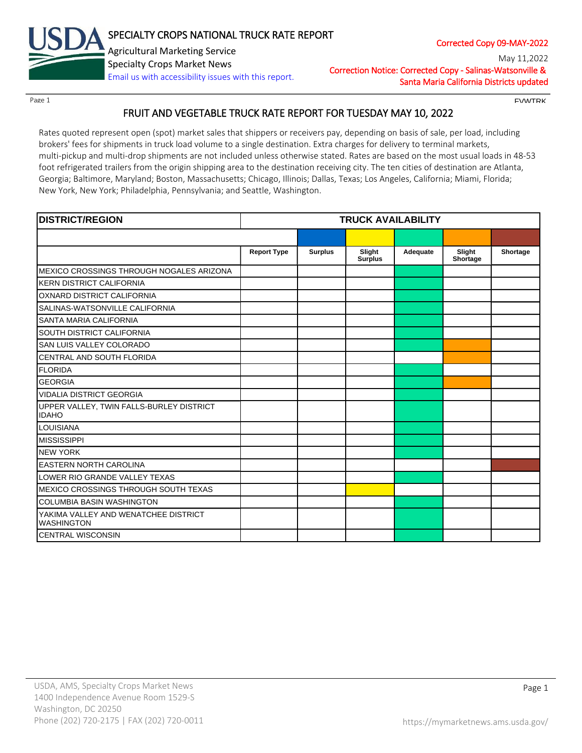

Correction Notice: Corrected Copy - Salinas-Watsonville & Santa Maria California Districts updated May 11,2022

Page 1 FINITE CONTROL CONTROL CONTROL CONTROL CONTROL CONTROL CONTROL CONTROL CONTROL CONTROL CONTROL CONTROL CONTROL CONTROL CONTROL CONTROL CONTROL CONTROL CONTROL CONTROL CONTROL CONTROL CONTROL CONTROL CONTROL CONTROL

# FRUIT AND VEGETABLE TRUCK RATE REPORT FOR TUESDAY MAY 10, 2022

Rates quoted represent open (spot) market sales that shippers or receivers pay, depending on basis of sale, per load, including brokers' fees for shipments in truck load volume to a single destination. Extra charges for delivery to terminal markets, multi-pickup and multi-drop shipments are not included unless otherwise stated. Rates are based on the most usual loads in 48-53 foot refrigerated trailers from the origin shipping area to the destination receiving city. The ten cities of destination are Atlanta, Georgia; Baltimore, Maryland; Boston, Massachusetts; Chicago, Illinois; Dallas, Texas; Los Angeles, California; Miami, Florida; New York, New York; Philadelphia, Pennsylvania; and Seattle, Washington.

| <b>DISTRICT/REGION</b>                                    |                    |                | <b>TRUCK AVAILABILITY</b> |          |                    |          |
|-----------------------------------------------------------|--------------------|----------------|---------------------------|----------|--------------------|----------|
|                                                           |                    |                |                           |          |                    |          |
|                                                           | <b>Report Type</b> | <b>Surplus</b> | Slight<br><b>Surplus</b>  | Adequate | Slight<br>Shortage | Shortage |
| MEXICO CROSSINGS THROUGH NOGALES ARIZONA                  |                    |                |                           |          |                    |          |
| <b>KERN DISTRICT CALIFORNIA</b>                           |                    |                |                           |          |                    |          |
| OXNARD DISTRICT CALIFORNIA                                |                    |                |                           |          |                    |          |
| SALINAS-WATSONVILLE CALIFORNIA                            |                    |                |                           |          |                    |          |
| SANTA MARIA CALIFORNIA                                    |                    |                |                           |          |                    |          |
| SOUTH DISTRICT CALIFORNIA                                 |                    |                |                           |          |                    |          |
| SAN LUIS VALLEY COLORADO                                  |                    |                |                           |          |                    |          |
| CENTRAL AND SOUTH FLORIDA                                 |                    |                |                           |          |                    |          |
| <b>FLORIDA</b>                                            |                    |                |                           |          |                    |          |
| <b>GEORGIA</b>                                            |                    |                |                           |          |                    |          |
| <b>VIDALIA DISTRICT GEORGIA</b>                           |                    |                |                           |          |                    |          |
| UPPER VALLEY, TWIN FALLS-BURLEY DISTRICT<br><b>IDAHO</b>  |                    |                |                           |          |                    |          |
| <b>LOUISIANA</b>                                          |                    |                |                           |          |                    |          |
| <b>MISSISSIPPI</b>                                        |                    |                |                           |          |                    |          |
| <b>NEW YORK</b>                                           |                    |                |                           |          |                    |          |
| <b>EASTERN NORTH CAROLINA</b>                             |                    |                |                           |          |                    |          |
| LOWER RIO GRANDE VALLEY TEXAS                             |                    |                |                           |          |                    |          |
| MEXICO CROSSINGS THROUGH SOUTH TEXAS                      |                    |                |                           |          |                    |          |
| <b>COLUMBIA BASIN WASHINGTON</b>                          |                    |                |                           |          |                    |          |
| YAKIMA VALLEY AND WENATCHEE DISTRICT<br><b>WASHINGTON</b> |                    |                |                           |          |                    |          |
| <b>CENTRAL WISCONSIN</b>                                  |                    |                |                           |          |                    |          |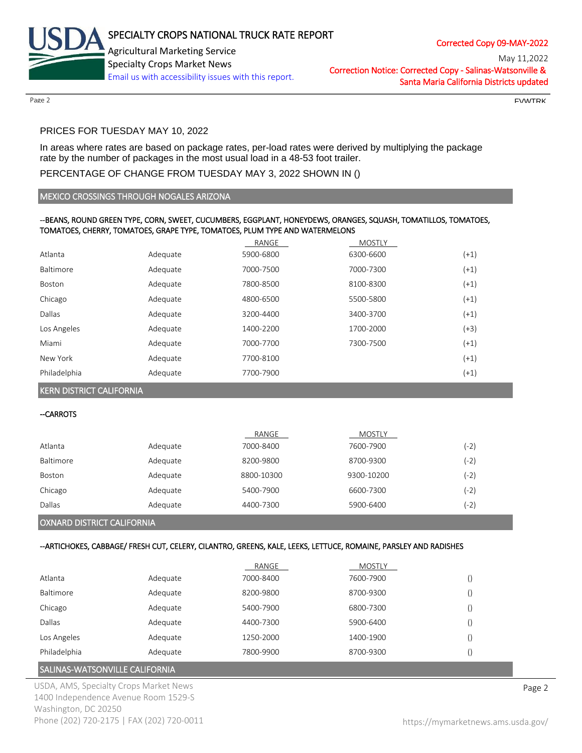

Correction Notice: Corrected Copy - Salinas-Watsonville & Santa Maria California Districts updated May 11,2022

 $P$ age 2 FVWTRK and the set of the set of the set of the set of the set of the set of the set of the set of the set of the set of the set of the set of the set of the set of the set of the set of the set of the set of the

# PRICES FOR TUESDAY MAY 10, 2022

In areas where rates are based on package rates, per-load rates were derived by multiplying the package rate by the number of packages in the most usual load in a 48-53 foot trailer.

# PERCENTAGE OF CHANGE FROM TUESDAY MAY 3, 2022 SHOWN IN ()

#### MEXICO CROSSINGS THROUGH NOGALES ARIZONA

#### --BEANS, ROUND GREEN TYPE, CORN, SWEET, CUCUMBERS, EGGPLANT, HONEYDEWS, ORANGES, SQUASH, TOMATILLOS, TOMATOES, TOMATOES, CHERRY, TOMATOES, GRAPE TYPE, TOMATOES, PLUM TYPE AND WATERMELONS

|              |          | RANGE     | <b>MOSTLY</b> |        |
|--------------|----------|-----------|---------------|--------|
| Atlanta      | Adequate | 5900-6800 | 6300-6600     | $(+1)$ |
| Baltimore    | Adequate | 7000-7500 | 7000-7300     | $(+1)$ |
| Boston       | Adequate | 7800-8500 | 8100-8300     | $(+1)$ |
| Chicago      | Adequate | 4800-6500 | 5500-5800     | $(+1)$ |
| Dallas       | Adequate | 3200-4400 | 3400-3700     | $(+1)$ |
| Los Angeles  | Adequate | 1400-2200 | 1700-2000     | $(+3)$ |
| Miami        | Adequate | 7000-7700 | 7300-7500     | $(+1)$ |
| New York     | Adequate | 7700-8100 |               | $(+1)$ |
| Philadelphia | Adequate | 7700-7900 |               | $(+1)$ |

KERN DISTRICT CALIFORNIA

#### --CARROTS

|               |          | RANGE      | <b>MOSTLY</b> |        |
|---------------|----------|------------|---------------|--------|
| Atlanta       | Adequate | 7000-8400  | 7600-7900     | (-2)   |
| Baltimore     | Adequate | 8200-9800  | 8700-9300     | (-2)   |
| <b>Boston</b> | Adequate | 8800-10300 | 9300-10200    | $(-2)$ |
| Chicago       | Adequate | 5400-7900  | 6600-7300     | (-2'   |
| Dallas        | Adequate | 4400-7300  | 5900-6400     | (-2)   |

### OXNARD DISTRICT CALIFORNIA

### --ARTICHOKES, CABBAGE/ FRESH CUT, CELERY, CILANTRO, GREENS, KALE, LEEKS, LETTUCE, ROMAINE, PARSLEY AND RADISHES

|              |          | RANGE     | <b>MOSTLY</b> |  |
|--------------|----------|-----------|---------------|--|
| Atlanta      | Adequate | 7000-8400 | 7600-7900     |  |
| Baltimore    | Adequate | 8200-9800 | 8700-9300     |  |
| Chicago      | Adequate | 5400-7900 | 6800-7300     |  |
| Dallas       | Adequate | 4400-7300 | 5900-6400     |  |
| Los Angeles  | Adequate | 1250-2000 | 1400-1900     |  |
| Philadelphia | Adequate | 7800-9900 | 8700-9300     |  |

# SALINAS-WATSONVILLE CALIFORNIA

USDA, AMS, Specialty Crops Market News **Page 2** 1400 Independence Avenue Room 1529-S Washington, DC 20250 Phone (202) 720-2175 | FAX (202) 720-0011 <https://mymarketnews.ams.usda.gov/>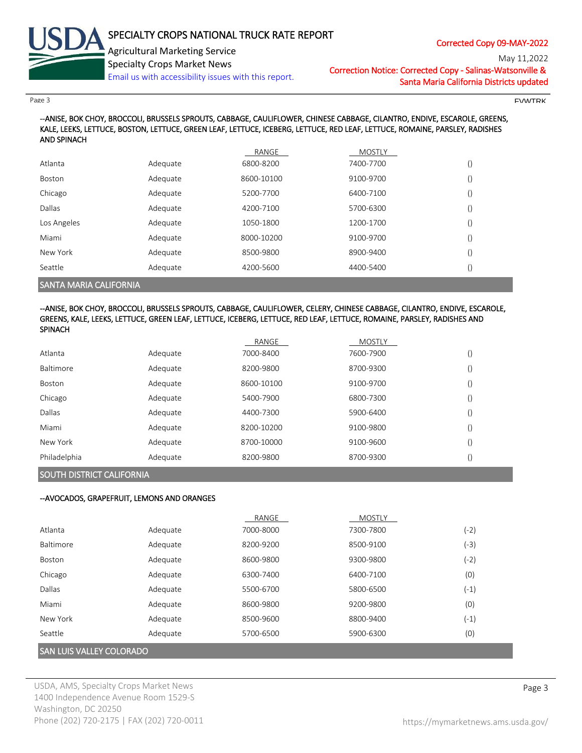

May 11,2022

Correction Notice: Corrected Copy - Salinas-Watsonville & Santa Maria California Districts updated

 $P$ age 3 FVWTRK  $\blacksquare$ 

--ANISE, BOK CHOY, BROCCOLI, BRUSSELS SPROUTS, CABBAGE, CAULIFLOWER, CHINESE CABBAGE, CILANTRO, ENDIVE, ESCAROLE, GREENS, KALE, LEEKS, LETTUCE, BOSTON, LETTUCE, GREEN LEAF, LETTUCE, ICEBERG, LETTUCE, RED LEAF, LETTUCE, ROMAINE, PARSLEY, RADISHES AND SPINACH

|             |          | RANGE      | <b>MOSTLY</b> |  |
|-------------|----------|------------|---------------|--|
| Atlanta     | Adequate | 6800-8200  | 7400-7700     |  |
| Boston      | Adequate | 8600-10100 | 9100-9700     |  |
| Chicago     | Adequate | 5200-7700  | 6400-7100     |  |
| Dallas      | Adequate | 4200-7100  | 5700-6300     |  |
| Los Angeles | Adequate | 1050-1800  | 1200-1700     |  |
| Miami       | Adequate | 8000-10200 | 9100-9700     |  |
| New York    | Adequate | 8500-9800  | 8900-9400     |  |
| Seattle     | Adequate | 4200-5600  | 4400-5400     |  |
|             |          |            |               |  |

SANTA MARIA CALIFORNIA

#### --ANISE, BOK CHOY, BROCCOLI, BRUSSELS SPROUTS, CABBAGE, CAULIFLOWER, CELERY, CHINESE CABBAGE, CILANTRO, ENDIVE, ESCAROLE, GREENS, KALE, LEEKS, LETTUCE, GREEN LEAF, LETTUCE, ICEBERG, LETTUCE, RED LEAF, LETTUCE, ROMAINE, PARSLEY, RADISHES AND SPINACH

|                  |          | RANGE      | <b>MOSTLY</b> |  |
|------------------|----------|------------|---------------|--|
| Atlanta          | Adequate | 7000-8400  | 7600-7900     |  |
| <b>Baltimore</b> | Adequate | 8200-9800  | 8700-9300     |  |
| Boston           | Adequate | 8600-10100 | 9100-9700     |  |
| Chicago          | Adequate | 5400-7900  | 6800-7300     |  |
| Dallas           | Adequate | 4400-7300  | 5900-6400     |  |
| Miami            | Adequate | 8200-10200 | 9100-9800     |  |
| New York         | Adequate | 8700-10000 | 9100-9600     |  |
| Philadelphia     | Adequate | 8200-9800  | 8700-9300     |  |

# SOUTH DISTRICT CALIFORNIA

#### --AVOCADOS, GRAPEFRUIT, LEMONS AND ORANGES

|           |                                 | RANGE     | <b>MOSTLY</b> |        |  |  |
|-----------|---------------------------------|-----------|---------------|--------|--|--|
| Atlanta   | Adequate                        | 7000-8000 | 7300-7800     | $(-2)$ |  |  |
| Baltimore | Adequate                        | 8200-9200 | 8500-9100     | $(-3)$ |  |  |
| Boston    | Adequate                        | 8600-9800 | 9300-9800     | $(-2)$ |  |  |
| Chicago   | Adequate                        | 6300-7400 | 6400-7100     | (0)    |  |  |
| Dallas    | Adequate                        | 5500-6700 | 5800-6500     | $(-1)$ |  |  |
| Miami     | Adequate                        | 8600-9800 | 9200-9800     | (0)    |  |  |
| New York  | Adequate                        | 8500-9600 | 8800-9400     | $(-1)$ |  |  |
| Seattle   | Adequate                        | 5700-6500 | 5900-6300     | (0)    |  |  |
|           | <b>SAN LUIS VALLEY COLORADO</b> |           |               |        |  |  |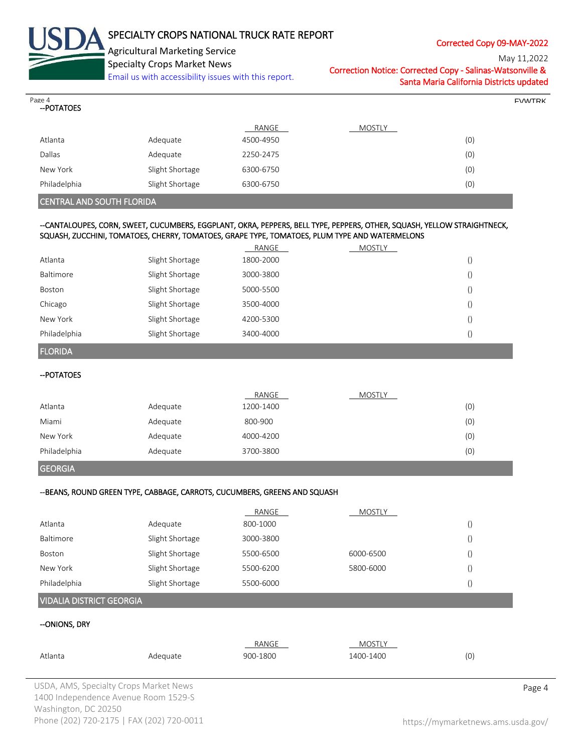

# SPECIALTY CROPS NATIONAL TRUCK RATE REPORT

Corrected Copy 09-MAY-2022

May 11,2022

Specialty Crops Market News [Email us with accessibility issues with this report.](mailto:mars@ams.usda.gov?subject=508%20Inquiry/Report)

Correction Notice: Corrected Copy - Salinas-Watsonville & Santa Maria California Districts updated

| Page 4<br>--POTATOES             |                 |           |                                                                                                                         |  |
|----------------------------------|-----------------|-----------|-------------------------------------------------------------------------------------------------------------------------|--|
|                                  |                 | RANGE     | <b>MOSTLY</b>                                                                                                           |  |
| Atlanta                          | Adequate        | 4500-4950 | (0)                                                                                                                     |  |
| Dallas                           | Adequate        | 2250-2475 | (0)                                                                                                                     |  |
| New York                         | Slight Shortage | 6300-6750 | (0)                                                                                                                     |  |
| Philadelphia                     | Slight Shortage | 6300-6750 | (0)                                                                                                                     |  |
| <b>CENTRAL AND SOUTH FLORIDA</b> |                 |           |                                                                                                                         |  |
|                                  |                 |           |                                                                                                                         |  |
|                                  |                 |           | --CANTALOUPES, CORN, SWEET, CUCUMBERS, EGGPLANT, OKRA, PEPPERS, BELL TYPE, PEPPERS, OTHER, SQUASH, YELLOW STRAIGHTNECK, |  |
|                                  |                 |           | SQUASH, ZUCCHINI, TOMATOES, CHERRY, TOMATOES, GRAPE TYPE, TOMATOES, PLUM TYPE AND WATERMELONS                           |  |

|                     |                 | RANGE     | <b>MOSTLY</b> |                  |  |
|---------------------|-----------------|-----------|---------------|------------------|--|
| Atlanta             | Slight Shortage | 1800-2000 |               | $\left( \right)$ |  |
| Baltimore           | Slight Shortage | 3000-3800 |               | $\left( \right)$ |  |
| Boston              | Slight Shortage | 5000-5500 |               | $\left( \right)$ |  |
| Chicago             | Slight Shortage | 3500-4000 |               | $\left( \right)$ |  |
| New York            | Slight Shortage | 4200-5300 |               | $\left( \right)$ |  |
| Philadelphia        | Slight Shortage | 3400-4000 |               | $\left( \right)$ |  |
| <b>FLORIDA</b>      |                 |           |               |                  |  |
| $-$ <b>DOTATOES</b> |                 |           |               |                  |  |

| טטראו שר     |          |           |               |     |
|--------------|----------|-----------|---------------|-----|
|              |          | RANGE     | <b>MOSTLY</b> |     |
| Atlanta      | Adequate | 1200-1400 |               | (0) |
| Miami        | Adequate | 800-900   |               | (0) |
| New York     | Adequate | 4000-4200 |               | (0) |
| Philadelphia | Adequate | 3700-3800 |               | (0) |

### --BEANS, ROUND GREEN TYPE, CABBAGE, CARROTS, CUCUMBERS, GREENS AND SQUASH

|                                 |                 | RANGE     | <b>MOSTLY</b> |    |
|---------------------------------|-----------------|-----------|---------------|----|
| Atlanta                         | Adequate        | 800-1000  |               | () |
| Baltimore                       | Slight Shortage | 3000-3800 |               |    |
| Boston                          | Slight Shortage | 5500-6500 | 6000-6500     |    |
| New York                        | Slight Shortage | 5500-6200 | 5800-6000     |    |
| Philadelphia                    | Slight Shortage | 5500-6000 |               |    |
| <b>VIDALIA DISTRICT GEORGIA</b> |                 |           |               |    |

## --ONIONS, DRY

GEORGIA

|         |          | RANGE    | <b>MOSTLY</b> |   |
|---------|----------|----------|---------------|---|
| Atlanta | Adeauate | 900-1800 | 1400-1400     | 0 |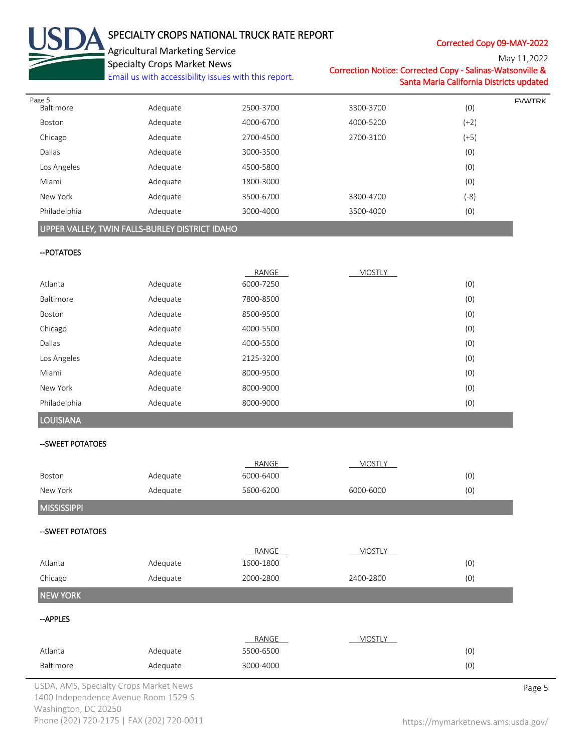| USDA SPECIALTY CROPS NATIONAL         |
|---------------------------------------|
| <b>Agricultural Marketing Service</b> |
| <b>Specialty Crops Market News</b>    |
| Email us with accordibility iccuse w  |

# SPECIALTY CROPS NATIONAL TRUCK RATE REPORT

Corrected Copy 09-MAY-2022

 $M<sub>2</sub>$  11,2022

|                                | <b>Specialty Crops Market News</b><br>Email us with accessibility issues with this report. |                    | Correction Notice: Corrected Copy - Salinas-Watsonville & | Santa Maria California Districts updated | Nay 11,2022   |
|--------------------------------|--------------------------------------------------------------------------------------------|--------------------|-----------------------------------------------------------|------------------------------------------|---------------|
| Page 5<br>Baltimore            | Adequate                                                                                   | 2500-3700          | 3300-3700                                                 | (0)                                      | <b>FVWTRK</b> |
| Boston                         | Adequate                                                                                   | 4000-6700          | 4000-5200                                                 | $(+2)$                                   |               |
| Chicago                        | Adequate                                                                                   | 2700-4500          | 2700-3100                                                 | $(+5)$                                   |               |
| Dallas                         | Adequate                                                                                   | 3000-3500          |                                                           | (0)                                      |               |
| Los Angeles                    | Adequate                                                                                   | 4500-5800          |                                                           | (0)                                      |               |
| Miami                          | Adequate                                                                                   | 1800-3000          |                                                           | (0)                                      |               |
| New York                       | Adequate                                                                                   | 3500-6700          | 3800-4700                                                 | $(-8)$                                   |               |
| Philadelphia                   | Adequate                                                                                   | 3000-4000          | 3500-4000                                                 | (0)                                      |               |
|                                | UPPER VALLEY, TWIN FALLS-BURLEY DISTRICT IDAHO                                             |                    |                                                           |                                          |               |
| -- POTATOES                    |                                                                                            |                    |                                                           |                                          |               |
|                                |                                                                                            | RANGE              | <b>MOSTLY</b>                                             |                                          |               |
| Atlanta                        | Adequate                                                                                   | 6000-7250          |                                                           | (0)                                      |               |
| Baltimore                      | Adequate                                                                                   | 7800-8500          |                                                           | (0)                                      |               |
| Boston                         | Adequate                                                                                   | 8500-9500          |                                                           | (0)                                      |               |
| Chicago                        | Adequate                                                                                   | 4000-5500          |                                                           | (0)                                      |               |
| Dallas                         | Adequate                                                                                   | 4000-5500          |                                                           | (0)                                      |               |
| Los Angeles                    | Adequate                                                                                   | 2125-3200          |                                                           | (0)                                      |               |
| Miami                          | Adequate                                                                                   | 8000-9500          |                                                           | (0)                                      |               |
| New York                       | Adequate                                                                                   | 8000-9000          |                                                           | (0)                                      |               |
| Philadelphia                   | Adequate                                                                                   | 8000-9000          |                                                           | (0)                                      |               |
| <b>LOUISIANA</b>               |                                                                                            |                    |                                                           |                                          |               |
| --SWEET POTATOES               |                                                                                            |                    |                                                           |                                          |               |
|                                |                                                                                            | RANGE              | <b>MOSTLY</b>                                             |                                          |               |
| Boston                         | Adequate                                                                                   | 6000-6400          |                                                           | (0)                                      |               |
| New York<br><b>MISSISSIPPI</b> | Adequate                                                                                   | 5600-6200          | 6000-6000                                                 | (0)                                      |               |
| --SWEET POTATOES               |                                                                                            |                    |                                                           |                                          |               |
|                                |                                                                                            | RANGE              | <b>MOSTLY</b>                                             |                                          |               |
| Atlanta                        | Adequate                                                                                   | 1600-1800          |                                                           | (0)                                      |               |
| Chicago                        | Adequate                                                                                   | 2000-2800          | 2400-2800                                                 | (0)                                      |               |
| <b>NEW YORK</b>                |                                                                                            |                    |                                                           |                                          |               |
| -- APPLES                      |                                                                                            |                    |                                                           |                                          |               |
| Atlanta                        | Adequate                                                                                   | RANGE<br>5500-6500 | <b>MOSTLY</b>                                             | (0)                                      |               |

Baltimore Adequate 3000-4000 (0)

USDA, AMS, Specialty Crops Market News **Page 5** 1400 Independence Avenue Room 1529-S Washington, DC 20250 Phone (202) 720-2175 | FAX (202) 720-0011 <https://mymarketnews.ams.usda.gov/>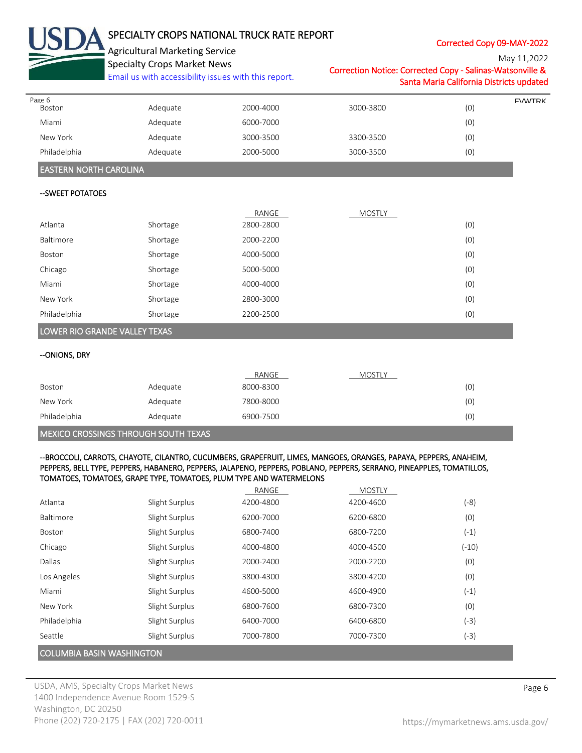|                               | SPECIALTY CROPS NATIONAL TRUCK RATE REPORT<br><b>Agricultural Marketing Service</b><br><b>Specialty Crops Market News</b><br>Email us with accessibility issues with this report. |           | Correction Notice: Corrected Copy - Salinas-Watsonville &                                                                                                                                                                                  | Corrected Copy 09-MAY-2022<br>Santa Maria California Districts updated | May 11,2022   |
|-------------------------------|-----------------------------------------------------------------------------------------------------------------------------------------------------------------------------------|-----------|--------------------------------------------------------------------------------------------------------------------------------------------------------------------------------------------------------------------------------------------|------------------------------------------------------------------------|---------------|
| Page 6<br>Boston              | Adequate                                                                                                                                                                          | 2000-4000 | 3000-3800                                                                                                                                                                                                                                  | (0)                                                                    | <b>FVWTRK</b> |
| Miami                         | Adequate                                                                                                                                                                          | 6000-7000 |                                                                                                                                                                                                                                            | (0)                                                                    |               |
| New York                      | Adequate                                                                                                                                                                          | 3000-3500 | 3300-3500                                                                                                                                                                                                                                  | (0)                                                                    |               |
| Philadelphia                  | Adequate                                                                                                                                                                          | 2000-5000 | 3000-3500                                                                                                                                                                                                                                  | (0)                                                                    |               |
| <b>EASTERN NORTH CAROLINA</b> |                                                                                                                                                                                   |           |                                                                                                                                                                                                                                            |                                                                        |               |
| --SWEET POTATOES              |                                                                                                                                                                                   |           |                                                                                                                                                                                                                                            |                                                                        |               |
|                               |                                                                                                                                                                                   | RANGE     | MOSTLY                                                                                                                                                                                                                                     |                                                                        |               |
| Atlanta                       | Shortage                                                                                                                                                                          | 2800-2800 |                                                                                                                                                                                                                                            | (0)                                                                    |               |
| Baltimore                     | Shortage                                                                                                                                                                          | 2000-2200 |                                                                                                                                                                                                                                            | (0)                                                                    |               |
| Boston                        | Shortage                                                                                                                                                                          | 4000-5000 |                                                                                                                                                                                                                                            | (0)                                                                    |               |
| Chicago                       | Shortage                                                                                                                                                                          | 5000-5000 |                                                                                                                                                                                                                                            | (0)                                                                    |               |
| Miami                         | Shortage                                                                                                                                                                          | 4000-4000 |                                                                                                                                                                                                                                            | (0)                                                                    |               |
| New York                      | Shortage                                                                                                                                                                          | 2800-3000 |                                                                                                                                                                                                                                            | (0)                                                                    |               |
| Philadelphia                  | Shortage                                                                                                                                                                          | 2200-2500 |                                                                                                                                                                                                                                            | (0)                                                                    |               |
| --ONIONS, DRY                 |                                                                                                                                                                                   | RANGE     | MOSTLY                                                                                                                                                                                                                                     |                                                                        |               |
| Boston                        | Adequate                                                                                                                                                                          | 8000-8300 |                                                                                                                                                                                                                                            | (0)                                                                    |               |
| New York                      | Adequate                                                                                                                                                                          | 7800-8000 |                                                                                                                                                                                                                                            | (0)                                                                    |               |
| Philadelphia                  | Adequate                                                                                                                                                                          | 6900-7500 |                                                                                                                                                                                                                                            | (0)                                                                    |               |
|                               | MEXICO CROSSINGS THROUGH SOUTH TEXAS<br>TOMATOES, TOMATOES, GRAPE TYPE, TOMATOES, PLUM TYPE AND WATERMELONS                                                                       |           | --BROCCOLI, CARROTS, CHAYOTE, CILANTRO, CUCUMBERS, GRAPEFRUIT, LIMES, MANGOES, ORANGES, PAPAYA, PEPPERS, ANAHEIM,<br>PEPPERS, BELL TYPE, PEPPERS, HABANERO, PEPPERS, JALAPENO, PEPPERS, POBLANO, PEPPERS, SERRANO, PINEAPPLES, TOMATILLOS, |                                                                        |               |
|                               |                                                                                                                                                                                   | RANGE     | <b>MOSTLY</b>                                                                                                                                                                                                                              |                                                                        |               |
| Atlanta                       | Slight Surplus                                                                                                                                                                    | 4200-4800 | 4200-4600                                                                                                                                                                                                                                  | $(-8)$                                                                 |               |
| Baltimore                     | Slight Surplus                                                                                                                                                                    | 6200-7000 | 6200-6800                                                                                                                                                                                                                                  | (0)                                                                    |               |
| Boston                        | Slight Surplus                                                                                                                                                                    | 6800-7400 | 6800-7200                                                                                                                                                                                                                                  | $(-1)$                                                                 |               |
| Chicago                       | Slight Surplus                                                                                                                                                                    | 4000-4800 | 4000-4500                                                                                                                                                                                                                                  | $(-10)$                                                                |               |
| Dallas                        | Slight Surplus                                                                                                                                                                    | 2000-2400 | 2000-2200                                                                                                                                                                                                                                  | (0)                                                                    |               |
| Los Angeles                   | Slight Surplus                                                                                                                                                                    | 3800-4300 | 3800-4200                                                                                                                                                                                                                                  | (0)                                                                    |               |
| Miami                         | Slight Surplus                                                                                                                                                                    | 4600-5000 | 4600-4900                                                                                                                                                                                                                                  | $(-1)$                                                                 |               |
| New York                      | Slight Surplus                                                                                                                                                                    | 6800-7600 | 6800-7300                                                                                                                                                                                                                                  | (0)                                                                    |               |
|                               |                                                                                                                                                                                   |           |                                                                                                                                                                                                                                            |                                                                        |               |
| Philadelphia                  | Slight Surplus                                                                                                                                                                    | 6400-7000 | 6400-6800                                                                                                                                                                                                                                  | $(-3)$                                                                 |               |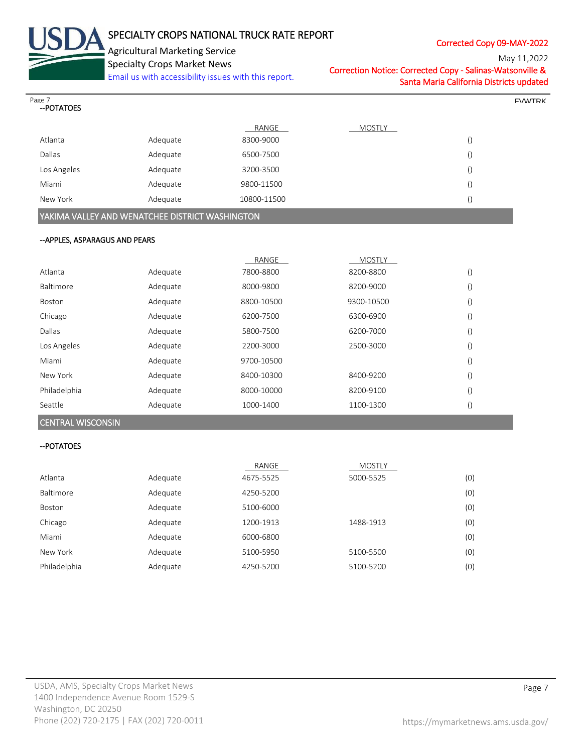

# SPECIALTY CROPS NATIONAL TRUCK RATE REPORT

Corrected Copy 09-MAY-2022

May 11,2022

Specialty Crops Market News [Email us with accessibility issues with this report.](mailto:mars@ams.usda.gov?subject=508%20Inquiry/Report) Correction Notice: Corrected Copy - Salinas-Watsonville & Santa Maria California Districts updated

| Page 7<br>-- POTATOES          |                                                 |             |               |                  | <b>FVANTRK</b> |
|--------------------------------|-------------------------------------------------|-------------|---------------|------------------|----------------|
|                                |                                                 | RANGE       | <b>MOSTLY</b> |                  |                |
| Atlanta                        | Adequate                                        | 8300-9000   |               | $\left( \right)$ |                |
| Dallas                         | Adequate                                        | 6500-7500   |               | $\left(\right)$  |                |
| Los Angeles                    | Adequate                                        | 3200-3500   |               | $\left( \right)$ |                |
| Miami                          | Adequate                                        | 9800-11500  |               | $\left(\right)$  |                |
| New York                       | Adequate                                        | 10800-11500 |               | $\left( \right)$ |                |
|                                | YAKIMA VALLEY AND WENATCHEE DISTRICT WASHINGTON |             |               |                  |                |
| -- APPLES, ASPARAGUS AND PEARS |                                                 |             |               |                  |                |
|                                |                                                 |             |               |                  |                |
|                                |                                                 | RANGE       | <b>MOSTLY</b> |                  |                |
| Atlanta                        | Adequate                                        | 7800-8800   | 8200-8800     | $\left( \right)$ |                |
| $D = 14$                       | المنقص والمناهية                                | 00000000    | 0300.0000     | $\sqrt{2}$       |                |

| Baltimore    | Adequate | 8000-9800  | 8200-9000  | $\left( \right)$ |
|--------------|----------|------------|------------|------------------|
| Boston       | Adequate | 8800-10500 | 9300-10500 | $\left( \right)$ |
| Chicago      | Adequate | 6200-7500  | 6300-6900  | $\left( \right)$ |
| Dallas       | Adequate | 5800-7500  | 6200-7000  | $\left( \right)$ |
| Los Angeles  | Adequate | 2200-3000  | 2500-3000  | $\left( \right)$ |
| Miami        | Adequate | 9700-10500 |            | $\left( \right)$ |
| New York     | Adequate | 8400-10300 | 8400-9200  | $\left( \right)$ |
| Philadelphia | Adequate | 8000-10000 | 8200-9100  | $\left( \right)$ |
| Seattle      | Adequate | 1000-1400  | 1100-1300  | $\left( \right)$ |

CENTRAL WISCONSIN

#### --POTATOES

|              |          | RANGE     | <b>MOSTLY</b> |     |
|--------------|----------|-----------|---------------|-----|
| Atlanta      | Adequate | 4675-5525 | 5000-5525     | (0) |
| Baltimore    | Adequate | 4250-5200 |               | (0) |
| Boston       | Adequate | 5100-6000 |               | (0) |
| Chicago      | Adequate | 1200-1913 | 1488-1913     | (0) |
| Miami        | Adequate | 6000-6800 |               | (0) |
| New York     | Adequate | 5100-5950 | 5100-5500     | (0) |
| Philadelphia | Adequate | 4250-5200 | 5100-5200     | (0) |